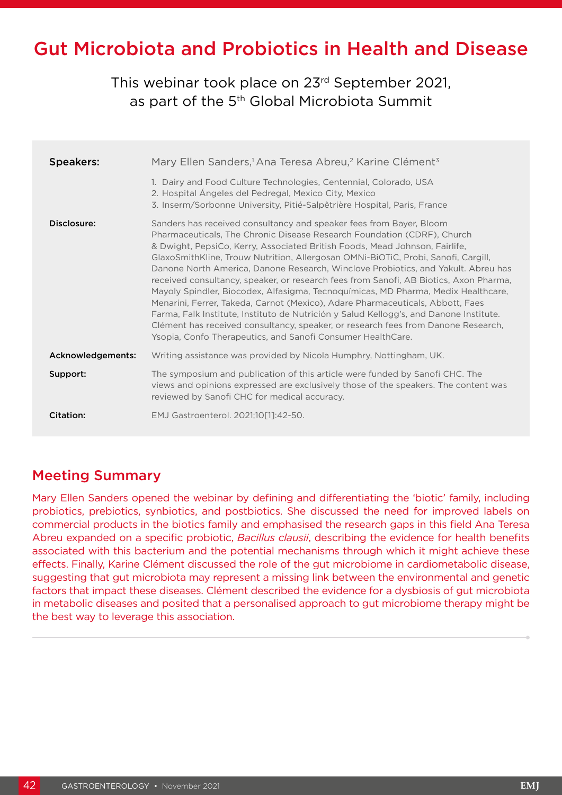# Gut Microbiota and Probiotics in Health and Disease

This webinar took place on 23rd September 2021, as part of the 5<sup>th</sup> Global Microbiota Summit

| <b>Speakers:</b>  | Mary Ellen Sanders, <sup>1</sup> Ana Teresa Abreu, <sup>2</sup> Karine Clément <sup>3</sup><br>1. Dairy and Food Culture Technologies, Centennial, Colorado, USA<br>2. Hospital Angeles del Pedregal, Mexico City, Mexico<br>3. Inserm/Sorbonne University, Pitié-Salpêtrière Hospital, Paris, France                                                                                                                                                                                                                                                                                                                                                                                                                                                                                                                                                                                                                 |
|-------------------|-----------------------------------------------------------------------------------------------------------------------------------------------------------------------------------------------------------------------------------------------------------------------------------------------------------------------------------------------------------------------------------------------------------------------------------------------------------------------------------------------------------------------------------------------------------------------------------------------------------------------------------------------------------------------------------------------------------------------------------------------------------------------------------------------------------------------------------------------------------------------------------------------------------------------|
| Disclosure:       | Sanders has received consultancy and speaker fees from Bayer, Bloom<br>Pharmaceuticals, The Chronic Disease Research Foundation (CDRF), Church<br>& Dwight, PepsiCo, Kerry, Associated British Foods, Mead Johnson, Fairlife,<br>GlaxoSmithKline, Trouw Nutrition, Allergosan OMNi-BiOTiC, Probi, Sanofi, Cargill,<br>Danone North America, Danone Research, Winclove Probiotics, and Yakult. Abreu has<br>received consultancy, speaker, or research fees from Sanofi, AB Biotics, Axon Pharma,<br>Mayoly Spindler, Biocodex, Alfasigma, Tecnoquímicas, MD Pharma, Medix Healthcare,<br>Menarini, Ferrer, Takeda, Carnot (Mexico), Adare Pharmaceuticals, Abbott, Faes<br>Farma, Falk Institute, Instituto de Nutrición y Salud Kellogg's, and Danone Institute.<br>Clément has received consultancy, speaker, or research fees from Danone Research,<br>Ysopia, Confo Therapeutics, and Sanofi Consumer HealthCare. |
| Acknowledgements: | Writing assistance was provided by Nicola Humphry, Nottingham, UK.                                                                                                                                                                                                                                                                                                                                                                                                                                                                                                                                                                                                                                                                                                                                                                                                                                                    |
| Support:          | The symposium and publication of this article were funded by Sanofi CHC. The<br>views and opinions expressed are exclusively those of the speakers. The content was<br>reviewed by Sanofi CHC for medical accuracy.                                                                                                                                                                                                                                                                                                                                                                                                                                                                                                                                                                                                                                                                                                   |
| Citation:         | EMJ Gastroenterol. 2021;10[1]:42-50.                                                                                                                                                                                                                                                                                                                                                                                                                                                                                                                                                                                                                                                                                                                                                                                                                                                                                  |

### Meeting Summary

Mary Ellen Sanders opened the webinar by defining and differentiating the 'biotic' family, including probiotics, prebiotics, synbiotics, and postbiotics. She discussed the need for improved labels on commercial products in the biotics family and emphasised the research gaps in this field Ana Teresa Abreu expanded on a specific probiotic, *Bacillus clausii*, describing the evidence for health benefits associated with this bacterium and the potential mechanisms through which it might achieve these effects. Finally, Karine Clément discussed the role of the gut microbiome in cardiometabolic disease, suggesting that gut microbiota may represent a missing link between the environmental and genetic factors that impact these diseases. Clément described the evidence for a dysbiosis of gut microbiota in metabolic diseases and posited that a personalised approach to gut microbiome therapy might be the best way to leverage this association.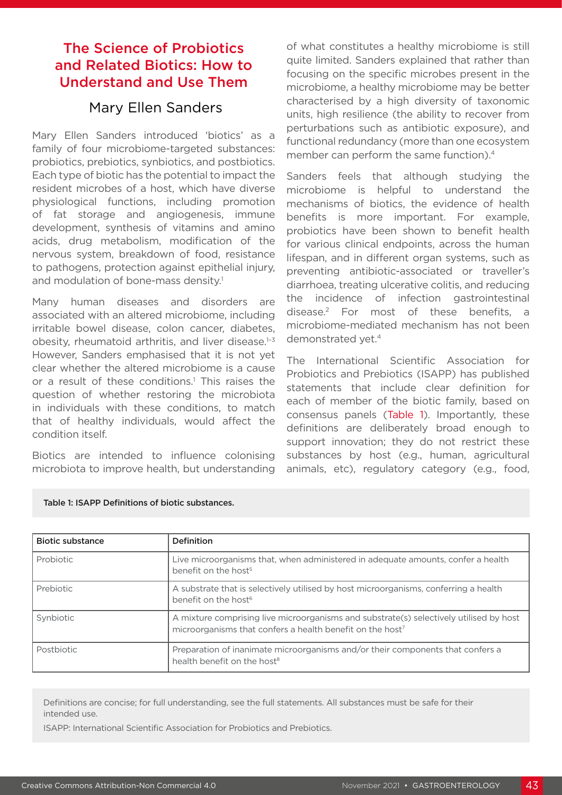## The Science of Probiotics and Related Biotics: How to Understand and Use Them

### Mary Ellen Sanders

Mary Ellen Sanders introduced 'biotics' as a family of four microbiome-targeted substances: probiotics, prebiotics, synbiotics, and postbiotics. Each type of biotic has the potential to impact the resident microbes of a host, which have diverse physiological functions, including promotion of fat storage and angiogenesis, immune development, synthesis of vitamins and amino acids, drug metabolism, modification of the nervous system, breakdown of food, resistance to pathogens, protection against epithelial injury, and modulation of bone-mass density.<sup>1</sup>

Many human diseases and disorders are associated with an altered microbiome, including irritable bowel disease, colon cancer, diabetes, obesity, rheumatoid arthritis, and liver disease. $1-3$ However, Sanders emphasised that it is not yet clear whether the altered microbiome is a cause or a result of these conditions.<sup>1</sup> This raises the question of whether restoring the microbiota in individuals with these conditions, to match that of healthy individuals, would affect the condition itself.

Biotics are intended to influence colonising microbiota to improve health, but understanding of what constitutes a healthy microbiome is still quite limited. Sanders explained that rather than focusing on the specific microbes present in the microbiome, a healthy microbiome may be better characterised by a high diversity of taxonomic units, high resilience (the ability to recover from perturbations such as antibiotic exposure), and functional redundancy (more than one ecosystem member can perform the same function).<sup>4</sup>

Sanders feels that although studying the microbiome is helpful to understand the mechanisms of biotics, the evidence of health benefits is more important. For example, probiotics have been shown to benefit health for various clinical endpoints, across the human lifespan, and in different organ systems, such as preventing antibiotic-associated or traveller's diarrhoea, treating ulcerative colitis, and reducing the incidence of infection gastrointestinal disease.2 For most of these benefits, a microbiome-mediated mechanism has not been demonstrated yet.<sup>4</sup>

The International Scientific Association for Probiotics and Prebiotics (ISAPP) has published statements that include clear definition for each of member of the biotic family, based on consensus panels (Table 1). Importantly, these definitions are deliberately broad enough to support innovation; they do not restrict these substances by host (e.g., human, agricultural animals, etc), regulatory category (e.g., food,

| <b>Biotic substance</b> | <b>Definition</b>                                                                                                                                               |
|-------------------------|-----------------------------------------------------------------------------------------------------------------------------------------------------------------|
| Probiotic               | Live microorganisms that, when administered in adequate amounts, confer a health<br>benefit on the host <sup>5</sup>                                            |
| Prebiotic               | A substrate that is selectively utilised by host microorganisms, conferring a health<br>benefit on the host <sup>6</sup>                                        |
| Synbiotic               | A mixture comprising live microorganisms and substrate(s) selectively utilised by host<br>microorganisms that confers a health benefit on the host <sup>7</sup> |
| <b>Postbiotic</b>       | Preparation of inanimate microorganisms and/or their components that confers a<br>health benefit on the host <sup>8</sup>                                       |

#### Table 1: ISAPP Definitions of biotic substances.

Definitions are concise; for full understanding, see the full statements. All substances must be safe for their intended use.

ISAPP: International Scientific Association for Probiotics and Prebiotics.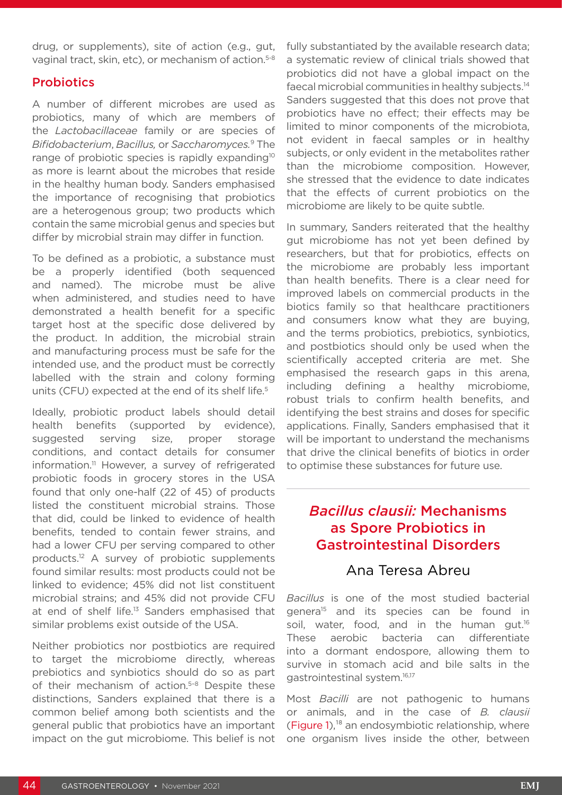drug, or supplements), site of action (e.g., gut, vaginal tract, skin, etc), or mechanism of action.<sup>5-8</sup>

### **Probiotics**

A number of different microbes are used as probiotics, many of which are members of the *Lactobacillaceae* family or are species of *Bifidobacterium*, *Bacillus,* or *Saccharomyces.*9 The range of probiotic species is rapidly expanding<sup>10</sup> as more is learnt about the microbes that reside in the healthy human body. Sanders emphasised the importance of recognising that probiotics are a heterogenous group; two products which contain the same microbial genus and species but differ by microbial strain may differ in function.

To be defined as a probiotic, a substance must be a properly identified (both sequenced and named). The microbe must be alive when administered, and studies need to have demonstrated a health benefit for a specific target host at the specific dose delivered by the product. In addition, the microbial strain and manufacturing process must be safe for the intended use, and the product must be correctly labelled with the strain and colony forming units (CFU) expected at the end of its shelf life.<sup>5</sup>

Ideally, probiotic product labels should detail health benefits (supported by evidence), suggested serving size, proper storage conditions, and contact details for consumer information.<sup>11</sup> However, a survey of refrigerated probiotic foods in grocery stores in the USA found that only one-half (22 of 45) of products listed the constituent microbial strains. Those that did, could be linked to evidence of health benefits, tended to contain fewer strains, and had a lower CFU per serving compared to other products.12 A survey of probiotic supplements found similar results: most products could not be linked to evidence; 45% did not list constituent microbial strains; and 45% did not provide CFU at end of shelf life.13 Sanders emphasised that similar problems exist outside of the USA.

Neither probiotics nor postbiotics are required to target the microbiome directly, whereas prebiotics and synbiotics should do so as part of their mechanism of action.<sup>5-8</sup> Despite these distinctions, Sanders explained that there is a common belief among both scientists and the general public that probiotics have an important impact on the gut microbiome. This belief is not

fully substantiated by the available research data; a systematic review of clinical trials showed that probiotics did not have a global impact on the faecal microbial communities in healthy subjects.14 Sanders suggested that this does not prove that probiotics have no effect; their effects may be limited to minor components of the microbiota, not evident in faecal samples or in healthy subjects, or only evident in the metabolites rather than the microbiome composition. However, she stressed that the evidence to date indicates that the effects of current probiotics on the microbiome are likely to be quite subtle.

In summary, Sanders reiterated that the healthy gut microbiome has not yet been defined by researchers, but that for probiotics, effects on the microbiome are probably less important than health benefits. There is a clear need for improved labels on commercial products in the biotics family so that healthcare practitioners and consumers know what they are buying, and the terms probiotics, prebiotics, synbiotics, and postbiotics should only be used when the scientifically accepted criteria are met. She emphasised the research gaps in this arena, including defining a healthy microbiome, robust trials to confirm health benefits, and identifying the best strains and doses for specific applications. Finally, Sanders emphasised that it will be important to understand the mechanisms that drive the clinical benefits of biotics in order to optimise these substances for future use.

### *Bacillus clausii:* Mechanisms as Spore Probiotics in Gastrointestinal Disorders

### Ana Teresa Abreu

*Bacillus* is one of the most studied bacterial genera15 and its species can be found in soil, water, food, and in the human gut.<sup>16</sup> These aerobic bacteria can differentiate into a dormant endospore, allowing them to survive in stomach acid and bile salts in the gastrointestinal system.16,17

Most *Bacilli* are not pathogenic to humans or animals, and in the case of *B. clausii*  (Figure  $1$ ),<sup>18</sup> an endosymbiotic relationship, where one organism lives inside the other, between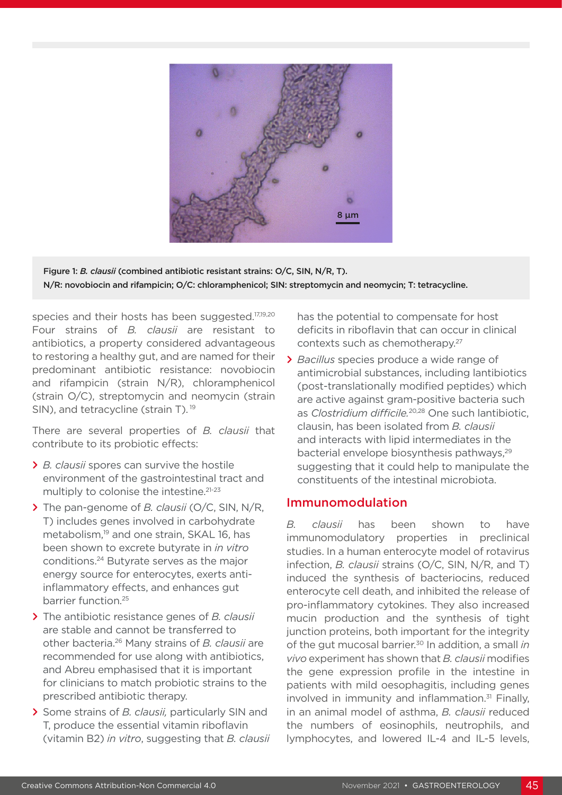

Figure 1: *B. clausii* (combined antibiotic resistant strains: O/C, SIN, N/R, T). N/R: novobiocin and rifampicin; O/C: chloramphenicol; SIN: streptomycin and neomycin; T: tetracycline.

species and their hosts has been suggested.<sup>17,19,20</sup> Four strains of *B. clausii* are resistant to antibiotics, a property considered advantageous to restoring a healthy gut, and are named for their predominant antibiotic resistance: novobiocin and rifampicin (strain N/R), chloramphenicol (strain O/C), streptomycin and neomycin (strain SIN), and tetracycline (strain T).<sup>19</sup>

There are several properties of *B. clausii* that contribute to its probiotic effects:

- **>** *B. clausii* spores can survive the hostile environment of the gastrointestinal tract and multiply to colonise the intestine.<sup>21-23</sup>
- **>** The pan-genome of *B. clausii* (O/C, SIN, N/R, T) includes genes involved in carbohydrate metabolism,<sup>19</sup> and one strain, SKAL 16, has been shown to excrete butyrate in *in vitro* conditions.24 Butyrate serves as the major energy source for enterocytes, exerts antiinflammatory effects, and enhances gut barrier function.25
- **>** The antibiotic resistance genes of *B. clausii* are stable and cannot be transferred to other bacteria.26 Many strains of *B. clausii* are recommended for use along with antibiotics, and Abreu emphasised that it is important for clinicians to match probiotic strains to the prescribed antibiotic therapy.
- **>** Some strains of *B. clausii,* particularly SIN and T, produce the essential vitamin riboflavin (vitamin B2) *in vitro*, suggesting that *B. clausii*

has the potential to compensate for host deficits in riboflavin that can occur in clinical contexts such as chemotherapy.27

**>** *Bacillus* species produce a wide range of antimicrobial substances, including lantibiotics (post-translationally modified peptides) which are active against gram-positive bacteria such as *Clostridium difficile.*20,28 One such lantibiotic, clausin, has been isolated from *B. clausii* and interacts with lipid intermediates in the bacterial envelope biosynthesis pathways,<sup>29</sup> suggesting that it could help to manipulate the constituents of the intestinal microbiota.

#### Immunomodulation

*B. clausii* has been shown to have immunomodulatory properties in preclinical studies. In a human enterocyte model of rotavirus infection, *B. clausii* strains (O/C, SIN, N/R, and T) induced the synthesis of bacteriocins, reduced enterocyte cell death, and inhibited the release of pro-inflammatory cytokines. They also increased mucin production and the synthesis of tight junction proteins, both important for the integrity of the gut mucosal barrier.30 In addition, a small *in vivo* experiment has shown that *B. clausii* modifies the gene expression profile in the intestine in patients with mild oesophagitis, including genes involved in immunity and inflammation. $31$  Finally, in an animal model of asthma, *B. clausii* reduced the numbers of eosinophils, neutrophils, and lymphocytes, and lowered IL-4 and IL-5 levels,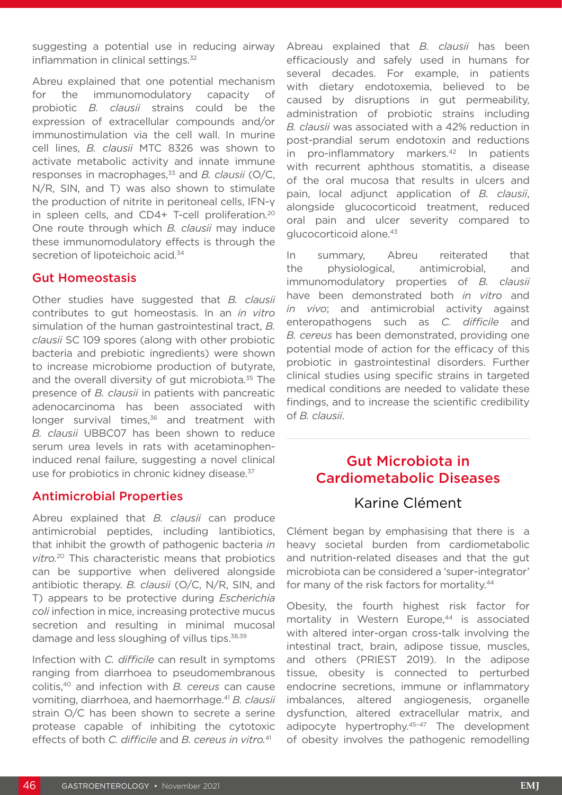suggesting a potential use in reducing airway inflammation in clinical settings.<sup>32</sup>

Abreu explained that one potential mechanism for the immunomodulatory capacity of probiotic *B. clausii* strains could be the expression of extracellular compounds and/or immunostimulation via the cell wall. In murine cell lines, *B. clausii* MTC 8326 was shown to activate metabolic activity and innate immune responses in macrophages,<sup>33</sup> and *B. clausii* (O/C, N/R, SIN, and T) was also shown to stimulate the production of nitrite in peritoneal cells, IFN-γ in spleen cells, and CD4+ T-cell proliferation.<sup>20</sup> One route through which *B. clausii* may induce these immunomodulatory effects is through the secretion of lipoteichoic acid.<sup>34</sup>

#### Gut Homeostasis

Other studies have suggested that *B. clausii* contributes to gut homeostasis. In an *in vitro* simulation of the human gastrointestinal tract, *B. clausii* SC 109 spores (along with other probiotic bacteria and prebiotic ingredients) were shown to increase microbiome production of butyrate, and the overall diversity of gut microbiota.<sup>35</sup> The presence of *B. clausii* in patients with pancreatic adenocarcinoma has been associated with longer survival times,<sup>36</sup> and treatment with *B. clausii* UBBC07 has been shown to reduce serum urea levels in rats with acetaminopheninduced renal failure, suggesting a novel clinical use for probiotics in chronic kidney disease.<sup>37</sup>

#### Antimicrobial Properties

Abreu explained that *B. clausii* can produce antimicrobial peptides, including lantibiotics, that inhibit the growth of pathogenic bacteria *in vitro.*20 This characteristic means that probiotics can be supportive when delivered alongside antibiotic therapy. *B. clausii* (O/C, N/R, SIN, and T) appears to be protective during *Escherichia coli* infection in mice, increasing protective mucus secretion and resulting in minimal mucosal damage and less sloughing of villus tips.<sup>38,39</sup>

Infection with *C. difficile* can result in symptoms ranging from diarrhoea to pseudomembranous colitis,40 and infection with *B. cereus* can cause vomiting, diarrhoea, and haemorrhage.41 *B. clausii* strain O/C has been shown to secrete a serine protease capable of inhibiting the cytotoxic effects of both *C. difficile* and *B. cereus in vitro.*<sup>41</sup>

Abreau explained that *B. clausii* has been efficaciously and safely used in humans for several decades. For example, in patients with dietary endotoxemia, believed to be caused by disruptions in gut permeability, administration of probiotic strains including *B. clausii* was associated with a 42% reduction in post-prandial serum endotoxin and reductions in pro-inflammatory markers.<sup>42</sup> In patients with recurrent aphthous stomatitis, a disease of the oral mucosa that results in ulcers and pain, local adjunct application of *B. clausii*, alongside glucocorticoid treatment, reduced oral pain and ulcer severity compared to glucocorticoid alone.43

In summary, Abreu reiterated that the physiological, antimicrobial, and immunomodulatory properties of *B. clausii* have been demonstrated both *in vitro* and *in vivo*; and antimicrobial activity against enteropathogens such as *C. difficile* and *B. cereus* has been demonstrated, providing one potential mode of action for the efficacy of this probiotic in gastrointestinal disorders. Further clinical studies using specific strains in targeted medical conditions are needed to validate these findings, and to increase the scientific credibility of *B. clausii*.

### Gut Microbiota in Cardiometabolic Diseases

### Karine Clément

Clément began by emphasising that there is a heavy societal burden from cardiometabolic and nutrition-related diseases and that the gut microbiota can be considered a 'super-integrator' for many of the risk factors for mortality.<sup>44</sup>

Obesity, the fourth highest risk factor for mortality in Western Europe.<sup>44</sup> is associated with altered inter-organ cross-talk involving the intestinal tract, brain, adipose tissue, muscles, and others (PRIEST 2019). In the adipose tissue, obesity is connected to perturbed endocrine secretions, immune or inflammatory imbalances, altered angiogenesis, organelle dysfunction, altered extracellular matrix, and adipocyte hypertrophy.45–47 The development of obesity involves the pathogenic remodelling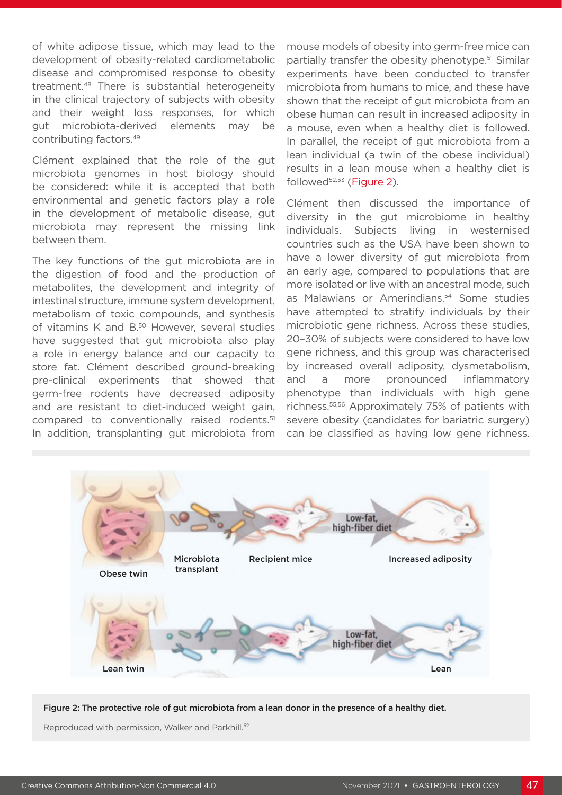of white adipose tissue, which may lead to the development of obesity-related cardiometabolic disease and compromised response to obesity treatment.48 There is substantial heterogeneity in the clinical trajectory of subjects with obesity and their weight loss responses, for which gut microbiota-derived elements may be contributing factors.49

Clément explained that the role of the gut microbiota genomes in host biology should be considered: while it is accepted that both environmental and genetic factors play a role in the development of metabolic disease, gut microbiota may represent the missing link between them.

The key functions of the gut microbiota are in the digestion of food and the production of metabolites, the development and integrity of intestinal structure, immune system development, metabolism of toxic compounds, and synthesis of vitamins K and B.<sup>50</sup> However, several studies have suggested that gut microbiota also play a role in energy balance and our capacity to store fat. Clément described ground-breaking pre-clinical experiments that showed that germ-free rodents have decreased adiposity and are resistant to diet-induced weight gain, compared to conventionally raised rodents.51 In addition, transplanting gut microbiota from mouse models of obesity into germ-free mice can partially transfer the obesity phenotype.51 Similar experiments have been conducted to transfer microbiota from humans to mice, and these have shown that the receipt of gut microbiota from an obese human can result in increased adiposity in a mouse, even when a healthy diet is followed. In parallel, the receipt of gut microbiota from a lean individual (a twin of the obese individual) results in a lean mouse when a healthy diet is followed<sup>52,53</sup> (Figure 2).

Clément then discussed the importance of diversity in the gut microbiome in healthy individuals. Subjects living in westernised countries such as the USA have been shown to have a lower diversity of gut microbiota from an early age, compared to populations that are more isolated or live with an ancestral mode, such as Malawians or Amerindians.<sup>54</sup> Some studies have attempted to stratify individuals by their microbiotic gene richness. Across these studies, 20–30% of subjects were considered to have low gene richness, and this group was characterised by increased overall adiposity, dysmetabolism, and a more pronounced inflammatory phenotype than individuals with high gene richness.55,56 Approximately 75% of patients with severe obesity (candidates for bariatric surgery) can be classified as having low gene richness.



Figure 2: The protective role of gut microbiota from a lean donor in the presence of a healthy diet.

Reproduced with permission, Walker and Parkhill.<sup>52</sup>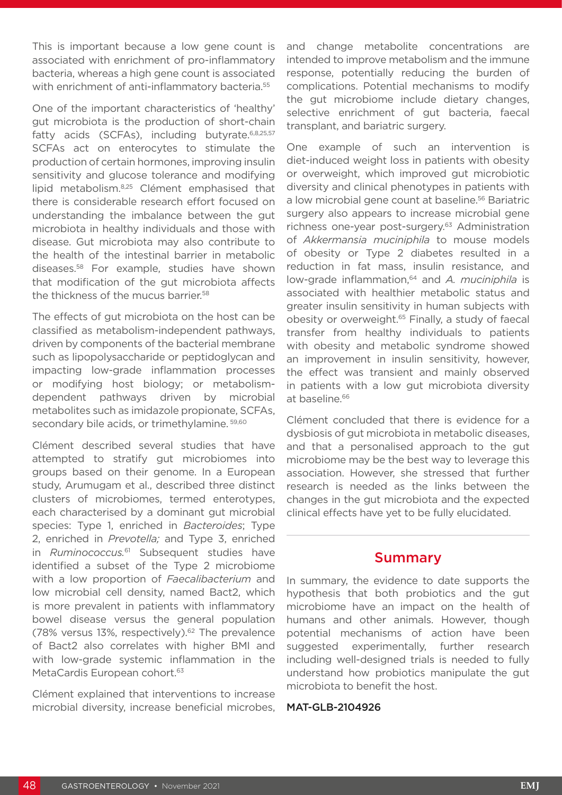This is important because a low gene count is associated with enrichment of pro-inflammatory bacteria, whereas a high gene count is associated with enrichment of anti-inflammatory bacteria.<sup>55</sup>

One of the important characteristics of 'healthy' gut microbiota is the production of short-chain fatty acids (SCFAs), including butyrate.  $6,8,25,57$ SCFAs act on enterocytes to stimulate the production of certain hormones, improving insulin sensitivity and glucose tolerance and modifying lipid metabolism.8,25 Clément emphasised that there is considerable research effort focused on understanding the imbalance between the gut microbiota in healthy individuals and those with disease. Gut microbiota may also contribute to the health of the intestinal barrier in metabolic diseases.58 For example, studies have shown that modification of the gut microbiota affects the thickness of the mucus barrier.<sup>58</sup>

The effects of gut microbiota on the host can be classified as metabolism-independent pathways, driven by components of the bacterial membrane such as lipopolysaccharide or peptidoglycan and impacting low-grade inflammation processes or modifying host biology; or metabolismdependent pathways driven by microbial metabolites such as imidazole propionate, SCFAs, secondary bile acids, or trimethylamine.<sup>59,60</sup>

Clément described several studies that have attempted to stratify gut microbiomes into groups based on their genome. In a European study, Arumugam et al., described three distinct clusters of microbiomes, termed enterotypes, each characterised by a dominant gut microbial species: Type 1, enriched in *Bacteroides*; Type 2, enriched in *Prevotella;* and Type 3, enriched in *Ruminococcus.*61 Subsequent studies have identified a subset of the Type 2 microbiome with a low proportion of *Faecalibacterium* and low microbial cell density, named Bact2, which is more prevalent in patients with inflammatory bowel disease versus the general population (78% versus 13%, respectively). $62$  The prevalence of Bact2 also correlates with higher BMI and with low-grade systemic inflammation in the MetaCardis European cohort.<sup>63</sup>

Clément explained that interventions to increase microbial diversity, increase beneficial microbes, and change metabolite concentrations are intended to improve metabolism and the immune response, potentially reducing the burden of complications. Potential mechanisms to modify the gut microbiome include dietary changes, selective enrichment of gut bacteria, faecal transplant, and bariatric surgery.

One example of such an intervention is diet-induced weight loss in patients with obesity or overweight, which improved gut microbiotic diversity and clinical phenotypes in patients with a low microbial gene count at baseline.<sup>56</sup> Bariatric surgery also appears to increase microbial gene richness one-year post-surgery.<sup>63</sup> Administration of *Akkermansia muciniphila* to mouse models of obesity or Type 2 diabetes resulted in a reduction in fat mass, insulin resistance, and low-grade inflammation,<sup>64</sup> and *A. muciniphila* is associated with healthier metabolic status and greater insulin sensitivity in human subjects with obesity or overweight.<sup>65</sup> Finally, a study of faecal transfer from healthy individuals to patients with obesity and metabolic syndrome showed an improvement in insulin sensitivity, however, the effect was transient and mainly observed in patients with a low gut microbiota diversity at baseline.<sup>66</sup>

Clément concluded that there is evidence for a dysbiosis of gut microbiota in metabolic diseases, and that a personalised approach to the gut microbiome may be the best way to leverage this association. However, she stressed that further research is needed as the links between the changes in the gut microbiota and the expected clinical effects have yet to be fully elucidated.

### Summary

In summary, the evidence to date supports the hypothesis that both probiotics and the gut microbiome have an impact on the health of humans and other animals. However, though potential mechanisms of action have been suggested experimentally, further research including well-designed trials is needed to fully understand how probiotics manipulate the gut microbiota to benefit the host.

#### MAT-GLB-2104926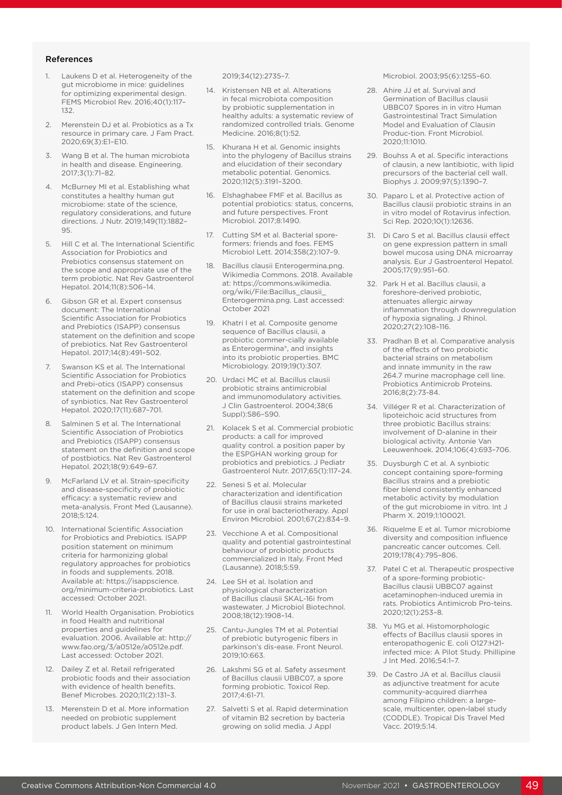#### References

- 1. Laukens D et al. Heterogeneity of the gut microbiome in mice: guidelines for optimizing experimental design. FEMS Microbiol Rev. 2016;40(1):117– 132.
- Merenstein DJ et al. Probiotics as a Tx resource in primary care. J Fam Pract. 2020;69(3):E1–E10.
- Wang B et al. The human microbiota in health and disease. Engineering. 2017;3(1):71–82.
- 4. McBurney MI et al. Establishing what constitutes a healthy human gut microbiome: state of the science, regulatory considerations, and future directions. J Nutr. 2019;149(11):1882– 95.
- 5. Hill C et al. The International Scientific Association for Probiotics and Prebiotics consensus statement on the scope and appropriate use of the term probiotic. Nat Rev Gastroenterol Hepatol. 2014;11(8):506–14.
- 6. Gibson GR et al. Expert consensus document: The International Scientific Association for Probiotics and Prebiotics (ISAPP) consensus statement on the definition and scope of prebiotics. Nat Rev Gastroenterol Hepatol. 2017;14(8):491–502.
- 7. Swanson KS et al. The International Scientific Association for Probiotics and Prebi-otics (ISAPP) consensus statement on the definition and scope of synbiotics. Nat Rev Gastroenterol Hepatol. 2020;17(11):687–701.
- Salminen S et al. The International Scientific Association of Probiotics and Prebiotics (ISAPP) consensus statement on the definition and scope of postbiotics. Nat Rev Gastroenterol Hepatol. 2021;18(9):649–67.
- 9. McFarland LV et al. Strain-specificity and disease-specificity of probiotic efficacy: a systematic review and meta-analysis. Front Med (Lausanne). 2018;5:124.
- 10. International Scientific Association for Probiotics and Prebiotics. ISAPP position statement on minimum criteria for harmonizing global regulatory approaches for probiotics in foods and supplements. 2018. Available at: https://isappscience. org/minimum-criteria-probiotics. Last accessed: October 2021.
- 11. World Health Organisation. Probiotics in food Health and nutritional properties and guidelines for evaluation. 2006. Available at: http:// www.fao.org/3/a0512e/a0512e.pdf. Last accessed: October 2021.
- 12. Dailey Z et al. Retail refrigerated probiotic foods and their association with evidence of health benefits. Benef Microbes. 2020;11(2):131–3.
- 13. Merenstein D et al. More information needed on probiotic supplement product labels. J Gen Intern Med.

2019;34(12):2735–7.

- 14. Kristensen NB et al. Alterations in fecal microbiota composition by probiotic supplementation in healthy adults: a systematic review of randomized controlled trials. Genome Medicine. 2016;8(1):52.
- 15. Khurana H et al. Genomic insights into the phylogeny of Bacillus strains and elucidation of their secondary metabolic potential. Genomics. 2020;112(5):3191–3200.
- 16. Elshaghabee FMF et al. Bacillus as potential probiotics: status, concerns, and future perspectives. Front Microbiol. 2017;8:1490.
- 17. Cutting SM et al. Bacterial sporeformers: friends and foes. FEMS Microbiol Lett. 2014;358(2):107–9.
- 18. Bacillus clausii Enterogermina.png. Wikimedia Commons. 2018. Available at: https://commons.wikimedia. org/wiki/File:Bacillus\_clausii\_ Enterogermina.png. Last accessed: October 2021
- 19. Khatri I et al. Composite genome sequence of Bacillus clausii, a probiotic commer-cially available as Enterogermina®, and insights into its probiotic properties. BMC Microbiology. 2019;19(1):307.
- 20. Urdaci MC et al. Bacillus clausii probiotic strains antimicrobial and immunomodulatory activities. J Clin Gastroenterol. 2004;38(6 Suppl):S86–S90.
- 21. Kolacek S et al. Commercial probiotic products: a call for improved quality control. a position paper by the ESPGHAN working group for probiotics and prebiotics. J Pediatr Gastroenterol Nutr. 2017;65(1):117–24.
- 22. Senesi S et al. Molecular characterization and identification of Bacillus clausii strains marketed for use in oral bacteriotherapy. Appl Environ Microbiol. 2001;67(2):834–9.
- 23. Vecchione A et al. Compositional quality and potential gastrointestinal behaviour of probiotic products commercialized in Italy. Front Med (Lausanne). 2018;5:59.
- 24. Lee SH et al. Isolation and physiological characterization of Bacillus clausii SKAL-16i from wastewater. J Microbiol Biotechnol. 2008;18(12):1908–14.
- 25. Cantu-Jungles TM et al. Potential of prebiotic butyrogenic fibers in parkinson's dis-ease. Front Neurol. 2019;10:663.
- 26. Lakshmi SG et al. Safety assesment of Bacillus clausii UBBC07, a spore forming probiotic. Toxicol Rep. 2017;4:61-71.
- 27. Salvetti S et al. Rapid determination of vitamin B2 secretion by bacteria growing on solid media. J Appl

Microbiol. 2003;95(6):1255–60.

- 28. Ahire JJ et al. Survival and Germination of Bacillus clausii UBBC07 Spores in in vitro Human Gastrointestinal Tract Simulation Model and Evaluation of Clausin Produc-tion. Front Microbiol. 2020;11:1010.
- 29. Bouhss A et al. Specific interactions of clausin, a new lantibiotic, with lipid precursors of the bacterial cell wall. Biophys J. 2009;97(5):1390–7.
- 30. Paparo L et al. Protective action of Bacillus clausii probiotic strains in an in vitro model of Rotavirus infection. Sci Rep. 2020;10(1):12636.
- 31. Di Caro S et al. Bacillus clausii effect on gene expression pattern in small bowel mucosa using DNA microarray analysis. Eur J Gastroenterol Hepatol. 2005;17(9):951–60.
- 32. Park H et al. Bacillus clausii, a foreshore-derived probiotic, attenuates allergic airway inflammation through downregulation of hypoxia signaling. J Rhinol. 2020;27(2):108–116.
- 33. Pradhan B et al. Comparative analysis of the effects of two probiotic bacterial strains on metabolism and innate immunity in the raw 264.7 murine macrophage cell line. Probiotics Antimicrob Proteins. 2016;8(2):73-84.
- 34. Villéger R et al. Characterization of lipoteichoic acid structures from three probiotic Bacillus strains: involvement of D-alanine in their biological activity. Antonie Van Leeuwenhoek. 2014;106(4):693–706.
- 35. Duysburgh C et al. A synbiotic concept containing spore-forming Bacillus strains and a prebiotic fiber blend consistently enhanced metabolic activity by modulation of the gut microbiome in vitro. Int J Pharm X. 2019;1:100021.
- 36. Riquelme E et al. Tumor microbiome diversity and composition influence pancreatic cancer outcomes. Cell. 2019;178(4):795–806.
- 37. Patel C et al. Therapeutic prospective of a spore-forming probiotic-Bacillus clausii UBBC07 against acetaminophen-induced uremia in rats. Probiotics Antimicrob Pro-teins. 2020;12(1):253–8.
- 38. Yu MG et al. Histomorphologic effects of Bacillus clausii spores in enteropathogenic E. coli O127:H21 infected mice: A Pilot Study. Phillipine J Int Med. 2016;54:1–7.
- 39. De Castro JA et al. Bacillus clausii as adjunctive treatment for acute community-acquired diarrhea among Filipino children: a largescale, multicenter, open-label study (CODDLE). Tropical Dis Travel Med Vacc. 2019;5:14.